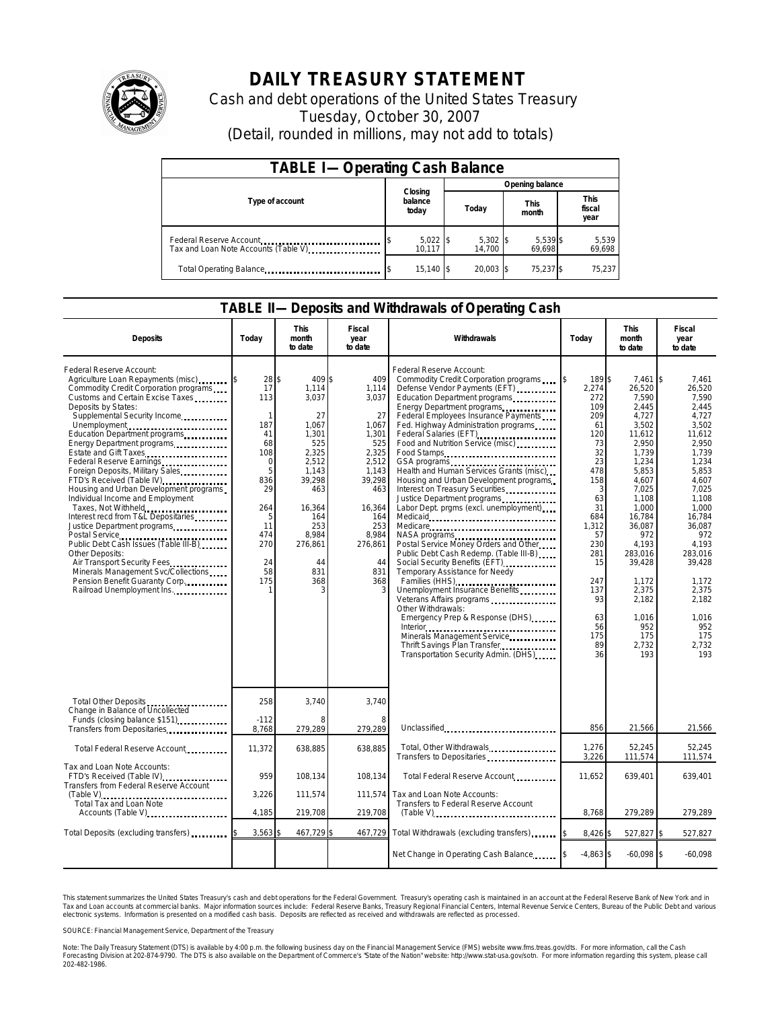

## **DAILY TREASURY STATEMENT**

Cash and debt operations of the United States Treasury Tuesday, October 30, 2007 (Detail, rounded in millions, may not add to totals)

| <b>TABLE I-Operating Cash Balance</b>                           |                             |  |                      |                      |                               |  |  |  |
|-----------------------------------------------------------------|-----------------------------|--|----------------------|----------------------|-------------------------------|--|--|--|
|                                                                 |                             |  | Opening balance      |                      |                               |  |  |  |
| Type of account                                                 | Closing<br>balance<br>today |  | Today                | <b>This</b><br>month | <b>This</b><br>fiscal<br>year |  |  |  |
| Federal Reserve Account<br>Tax and Loan Note Accounts (Table V) | $5,022$ \$<br>10,117        |  | $5,302$ \$<br>14.700 | 5,539 \$<br>69.698   | 5,539<br>69,698               |  |  |  |
| Total Operating Balance                                         | 15.140 \$                   |  | 20.003 \$            | 75,237 \$            | 75.237                        |  |  |  |

## **TABLE II—Deposits and Withdrawals of Operating Cash**

| <b>Deposits</b>                                                                                                                                                                                                                                                                                                                                                                                                                                                                                                                                                                                                                                                                                                                                | Todav                                                                                                                               | <b>This</b><br>month<br>to date                                                                                                                                          | Fiscal<br>year<br>to date                                                                                                                                        | Withdrawals                                                                                                                                                                                                                                                                                                                                                                                                                                                                                                                                                                                                                                                                                                                                                                                                                                                                                                                                                                              | Today                                                                                                                                                                                                            | <b>This</b><br>month<br>to date                                                                                                                                                                                                                                  | Fiscal<br>year<br>to date                                                                                                                                                                                                                                               |
|------------------------------------------------------------------------------------------------------------------------------------------------------------------------------------------------------------------------------------------------------------------------------------------------------------------------------------------------------------------------------------------------------------------------------------------------------------------------------------------------------------------------------------------------------------------------------------------------------------------------------------------------------------------------------------------------------------------------------------------------|-------------------------------------------------------------------------------------------------------------------------------------|--------------------------------------------------------------------------------------------------------------------------------------------------------------------------|------------------------------------------------------------------------------------------------------------------------------------------------------------------|------------------------------------------------------------------------------------------------------------------------------------------------------------------------------------------------------------------------------------------------------------------------------------------------------------------------------------------------------------------------------------------------------------------------------------------------------------------------------------------------------------------------------------------------------------------------------------------------------------------------------------------------------------------------------------------------------------------------------------------------------------------------------------------------------------------------------------------------------------------------------------------------------------------------------------------------------------------------------------------|------------------------------------------------------------------------------------------------------------------------------------------------------------------------------------------------------------------|------------------------------------------------------------------------------------------------------------------------------------------------------------------------------------------------------------------------------------------------------------------|-------------------------------------------------------------------------------------------------------------------------------------------------------------------------------------------------------------------------------------------------------------------------|
| Federal Reserve Account:<br>Commodity Credit Corporation programs<br>Customs and Certain Excise Taxes<br>Deposits by States:<br>Supplemental Security Income<br>Unemployment<br>Education Department programs<br>Energy Department programs<br>Estate and Gift Taxes<br>Federal Reserve Earnings<br>Foreign Deposits, Military Sales<br>FTD's Received (Table IV)<br>Housing and Urban Development programs<br>Individual Income and Employment<br>Taxes, Not Withheld<br>Interest recd from T&L Depositaries<br>Justice Department programs<br>Public Debt Cash Issues (Table III-B)<br>Other Deposits:<br>Air Transport Security Fees<br>Minerals Management Svc/Collections<br>Pension Benefit Guaranty Corp.<br>Railroad Unemployment Ins. | 28<br>17<br>113<br>-1<br>187<br>41<br>68<br>108<br>$\mathbf 0$<br>5<br>836<br>29<br>264<br>5<br>11<br>474<br>270<br>24<br>58<br>175 | 409 \$<br>ፍ<br>1,114<br>3,037<br>27<br>1,067<br>1,301<br>525<br>2,325<br>2,512<br>1,143<br>39,298<br>463<br>16,364<br>164<br>253<br>8,984<br>276,861<br>44<br>831<br>368 | 409<br>1,114<br>3,037<br>27<br>1,067<br>1,301<br>525<br>2.325<br>2,512<br>1,143<br>39,298<br>463<br>16,364<br>164<br>253<br>8,984<br>276,861<br>44<br>831<br>368 | Federal Reserve Account:<br>Commodity Credit Corporation programs<br>Defense Vendor Payments (EFT)<br>Education Department programs<br>Energy Department programs<br>Federal Employees Insurance Payments<br>Fed. Highway Administration programs<br>Federal Salaries (EFT)<br>1999 - Patricio III (1999)<br>Food and Nutrition Service (misc)<br>Food Stamps<br>Health and Human Services Grants (misc)<br>Housing and Urban Development programs<br>Interest on Treasury Securities<br>Justice Department programs<br>Labor Dept. prgms (excl. unemployment)<br>NASA programs<br>Postal Service Money Orders and Other<br>Public Debt Cash Redemp. (Table III-B)<br>Social Security Benefits (EFT)<br>Temporary Assistance for Needy<br>Families (HHS)<br>Unemployment Insurance Benefits<br>Veterans Affairs programs<br>Other Withdrawals:<br>Emergency Prep & Response (DHS)<br>Minerals Management Service<br>Thrift Savings Plan Transfer<br>Transportation Security Admin. (DHS) | $\mathsf{\$}$<br>189 \$<br>2,274<br>272<br>109<br>209<br>61<br>120<br>73<br>32<br>23<br>478<br>158<br>3<br>63<br>31<br>684<br>1,312<br>57<br>230<br>281<br>15<br>247<br>137<br>93<br>63<br>56<br>175<br>89<br>36 | 7,461<br>26,520<br>7,590<br>2,445<br>4.727<br>3,502<br>11,612<br>2,950<br>1.739<br>1,234<br>5,853<br>4,607<br>7,025<br>1,108<br>1,000<br>16,784<br>36,087<br>972<br>4.193<br>283,016<br>39,428<br>1,172<br>2,375<br>2,182<br>1,016<br>952<br>175<br>2,732<br>193 | I\$<br>7.461<br>26.520<br>7,590<br>2.445<br>4.727<br>3,502<br>11,612<br>2,950<br>1.739<br>1,234<br>5,853<br>4.607<br>7,025<br>1,108<br>1.000<br>16.784<br>36,087<br>972<br>4.193<br>283,016<br>39,428<br>1.172<br>2,375<br>2.182<br>1,016<br>952<br>175<br>2.732<br>193 |
| Total Other Deposits<br>Change in Balance of Uncollected<br>Funds (closing balance \$151)                                                                                                                                                                                                                                                                                                                                                                                                                                                                                                                                                                                                                                                      | 258<br>$-112$                                                                                                                       | 3,740                                                                                                                                                                    | 3,740                                                                                                                                                            |                                                                                                                                                                                                                                                                                                                                                                                                                                                                                                                                                                                                                                                                                                                                                                                                                                                                                                                                                                                          |                                                                                                                                                                                                                  |                                                                                                                                                                                                                                                                  |                                                                                                                                                                                                                                                                         |
| Transfers from Depositaries                                                                                                                                                                                                                                                                                                                                                                                                                                                                                                                                                                                                                                                                                                                    | 8,768                                                                                                                               | 279,289                                                                                                                                                                  | 279,289                                                                                                                                                          | Unclassified                                                                                                                                                                                                                                                                                                                                                                                                                                                                                                                                                                                                                                                                                                                                                                                                                                                                                                                                                                             | 856                                                                                                                                                                                                              | 21,566                                                                                                                                                                                                                                                           | 21,566                                                                                                                                                                                                                                                                  |
| Total Federal Reserve Account                                                                                                                                                                                                                                                                                                                                                                                                                                                                                                                                                                                                                                                                                                                  | 11,372                                                                                                                              | 638,885                                                                                                                                                                  | 638.885                                                                                                                                                          | Total, Other Withdrawals<br>Transfers to Depositaries                                                                                                                                                                                                                                                                                                                                                                                                                                                                                                                                                                                                                                                                                                                                                                                                                                                                                                                                    | 1.276<br>3,226                                                                                                                                                                                                   | 52,245<br>111,574                                                                                                                                                                                                                                                | 52.245<br>111,574                                                                                                                                                                                                                                                       |
| Tax and Loan Note Accounts:<br>FTD's Received (Table IV)<br>Transfers from Federal Reserve Account                                                                                                                                                                                                                                                                                                                                                                                                                                                                                                                                                                                                                                             | 959                                                                                                                                 | 108.134                                                                                                                                                                  | 108.134                                                                                                                                                          | Total Federal Reserve Account                                                                                                                                                                                                                                                                                                                                                                                                                                                                                                                                                                                                                                                                                                                                                                                                                                                                                                                                                            | 11,652                                                                                                                                                                                                           | 639.401                                                                                                                                                                                                                                                          | 639.401                                                                                                                                                                                                                                                                 |
| $(Table V)$<br>Total Tax and Loan Note                                                                                                                                                                                                                                                                                                                                                                                                                                                                                                                                                                                                                                                                                                         | 3,226                                                                                                                               | 111,574                                                                                                                                                                  | 111,574                                                                                                                                                          | Tax and Loan Note Accounts:<br>Transfers to Federal Reserve Account                                                                                                                                                                                                                                                                                                                                                                                                                                                                                                                                                                                                                                                                                                                                                                                                                                                                                                                      |                                                                                                                                                                                                                  |                                                                                                                                                                                                                                                                  |                                                                                                                                                                                                                                                                         |
| Accounts (Table V)                                                                                                                                                                                                                                                                                                                                                                                                                                                                                                                                                                                                                                                                                                                             | 4,185                                                                                                                               | 219,708                                                                                                                                                                  | 219,708                                                                                                                                                          | $(Table V)$                                                                                                                                                                                                                                                                                                                                                                                                                                                                                                                                                                                                                                                                                                                                                                                                                                                                                                                                                                              | 8.768                                                                                                                                                                                                            | 279.289                                                                                                                                                                                                                                                          | 279.289                                                                                                                                                                                                                                                                 |
| Total Deposits (excluding transfers)                                                                                                                                                                                                                                                                                                                                                                                                                                                                                                                                                                                                                                                                                                           | 3,563                                                                                                                               | 467,729 \$                                                                                                                                                               | 467,729                                                                                                                                                          | Total Withdrawals (excluding transfers)                                                                                                                                                                                                                                                                                                                                                                                                                                                                                                                                                                                                                                                                                                                                                                                                                                                                                                                                                  | 8,426 \$                                                                                                                                                                                                         | 527,827 \$                                                                                                                                                                                                                                                       | 527,827                                                                                                                                                                                                                                                                 |
|                                                                                                                                                                                                                                                                                                                                                                                                                                                                                                                                                                                                                                                                                                                                                |                                                                                                                                     |                                                                                                                                                                          |                                                                                                                                                                  | Net Change in Operating Cash Balance                                                                                                                                                                                                                                                                                                                                                                                                                                                                                                                                                                                                                                                                                                                                                                                                                                                                                                                                                     | $-4,863$ \$                                                                                                                                                                                                      | $-60,098$ \$                                                                                                                                                                                                                                                     | $-60,098$                                                                                                                                                                                                                                                               |

This statement summarizes the United States Treasury's cash and debt operations for the Federal Government. Treasury's operating cash is maintained in an account at the Federal Reserve Bank of New York and in<br>Tax and Loan narizes the United States Treasury's cash and debt operations for the Federal Government. Treasury's operating cash is maintained in an account at the Federal Reserve Bank of New York and in<br>ints at commercial banks. Major

SOURCE: Financial Management Service, Department of the Treasury

Note: The Daily Treasury Statement (DTS) is available by 4:00 p.m. the following business day on the Financial Management Service (FMS) website www.fms.treas.gov/dts. For more information, call the Cash<br>Forecasting Divisio 202-482-1986.